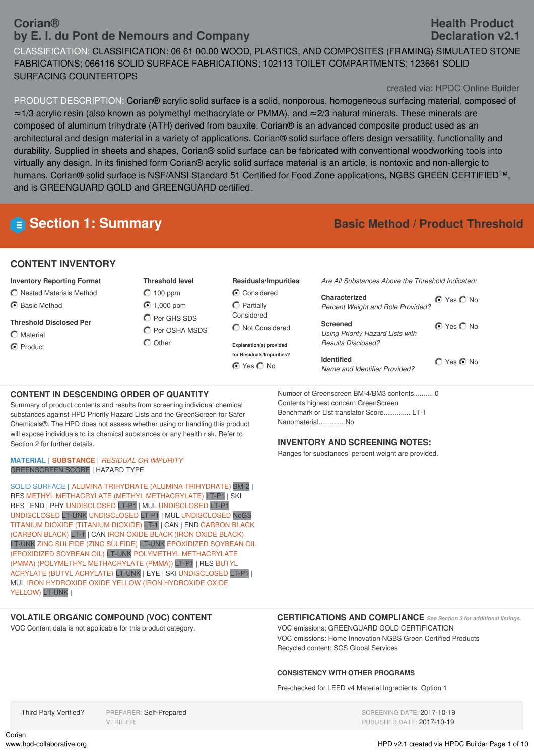# **Corian® by E. I. du Pont de Nemours and Company**

CLASSIFICATION: CLASSIFICATION: 06 61 00.00 WOOD, PLASTICS, AND COMPOSITES (FRAMING) SIMULATED STONE FABRICATIONS; 066116 SOLID SURFACE FABRICATIONS; 102113 TOILET COMPARTMENTS; 123661 SOLID SURFACING COUNTERTOPS

#### created via: HPDC Online Builder

PRODUCT DESCRIPTION: Corian® acrylic solid surface is a solid, nonporous, homogeneous surfacing material, composed of ≈1/3 acrylic resin (also known as polymethyl methacrylate or PMMA), and ≈2/3 natural minerals. These minerals are composed of aluminum trihydrate (ATH) derived from bauxite. Corian® is an advanced composite product used as an architectural and design material in a variety of applications. Corian® solid surface offers design versatility, functionality and durability. Supplied in sheets and shapes, Corian® solid surface can be fabricated with conventional woodworking tools into virtually any design. In its finished form Corian® acrylic solid surface material is an article, is nontoxic and non-allergic to humans. Corian® solid surface is NSF/ANSI Standard 51 Certified for Food Zone applications, NGBS GREEN CERTIFIED™, and is GREENGUARD GOLD and GREENGUARD certified.

# **E** Section 1: Summary **Basic Method** */* Product Threshold

### **CONTENT INVENTORY**

#### **Inventory Reporting Format**

- Nested Materials Method
- **⊙** Basic Method
- **Threshold Disclosed Per**

Section 2 for further details.

- $\bigcap$  Material
- C Product

**Threshold level**  $O$  100 ppm ◯ 1,000 ppm **O** Per GHS SDS **C** Per OSHA MSDS  $\bigcap$  Other

**Residuals/Impurities** Considered

 $\bigcap$  Partially Considered  $\bigcirc$  Not Considered

**Explanation(s) provided**

**for Residuals/Impurities? ⊙** Yes ◯ No

*Are All Substances Above the Threshold Indicated:*

| Characterized<br><b>Percent Weight and Role Provided?</b>                               | $\bigcirc$ Yes $\bigcirc$ No |
|-----------------------------------------------------------------------------------------|------------------------------|
| <b>Screened</b><br>Using Priority Hazard Lists with<br><i><b>Results Disclosed?</b></i> | $\bigcirc$ Yes $\bigcirc$ No |
| <b>Identified</b><br>Name and Identifier Provided?                                      | $\bigcap$ Yes $\bigcirc$ No  |

Number of Greenscreen BM-4/BM3 contents.......... 0 Contents highest concern GreenScreen Benchmark or List translator Score.............. LT-1 Nanomaterial............. No

#### **INVENTORY AND SCREENING NOTES:**

Ranges for substances' percent weight are provided.

#### **MATERIAL | SUBSTANCE |** *RESIDUAL OR IMPURITY* GREENSCREEN SCORE | HAZARD TYPE

**CONTENT IN DESCENDING ORDER OF QUANTITY**

Summary of product contents and results from screening individual chemical substances against HPD Priority Hazard Lists and the GreenScreen for Safer Chemicals®. The HPD does not assess whether using or handling this product will expose individuals to its chemical substances or any health risk. Refer to

SOLID SURFACE [ ALUMINA TRIHYDRATE (ALUMINA TRIHYDRATE) BM-2 | RES METHYL METHACRYLATE (METHYL METHACRYLATE) LT-P1 | SKI | RES | END | PHY UNDISCLOSED LT-P1 | MUL UNDISCLOSED LT-P1 UNDISCLOSED LT-UNK UNDISCLOSED LT-P1 | MUL UNDISCLOSED NoGS TITANIUM DIOXIDE (TITANIUM DIOXIDE) LT-1 | CAN | END CARBON BLACK (CARBON BLACK) LT-1 | CAN IRON OXIDE BLACK (IRON OXIDE BLACK) LT-UNK ZINC SULFIDE (ZINC SULFIDE) LT-UNK EPOXIDIZED SOYBEAN OIL (EPOXIDIZED SOYBEAN OIL) LT-UNK POLYMETHYL METHACRYLATE (PMMA) (POLYMETHYL METHACRYLATE (PMMA)) LT-P1 | RES BUTYL ACRYLATE (BUTYL ACRYLATE) LT-UNK | EYE | SKI UNDISCLOSED LT-P1 | MUL IRON HYDROXIDE OXIDE YELLOW (IRON HYDROXIDE OXIDE YELLOW) LT-UNK ]

# **VOLATILE ORGANIC COMPOUND (VOC) CONTENT**

VOC Content data is not applicable for this product category.

#### **CERTIFICATIONS AND COMPLIANCE** *See Section <sup>3</sup> for additional listings.*

VOC emissions: GREENGUARD GOLD CERTIFICATION VOC emissions: Home Innovation NGBS Green Certified Products Recycled content: SCS Global Services

#### **CONSISTENCY WITH OTHER PROGRAMS**

Pre-checked for LEED v4 Material Ingredients, Option 1

Third Party Verified? PREPARER: Self-Prepared VERIFIER:

SCREENING DATE: 2017-10-19 PUBLISHED DATE: 2017-10-19

Corian<br>www.hpd-collaborative.org

**Health Product Declaration v2.1**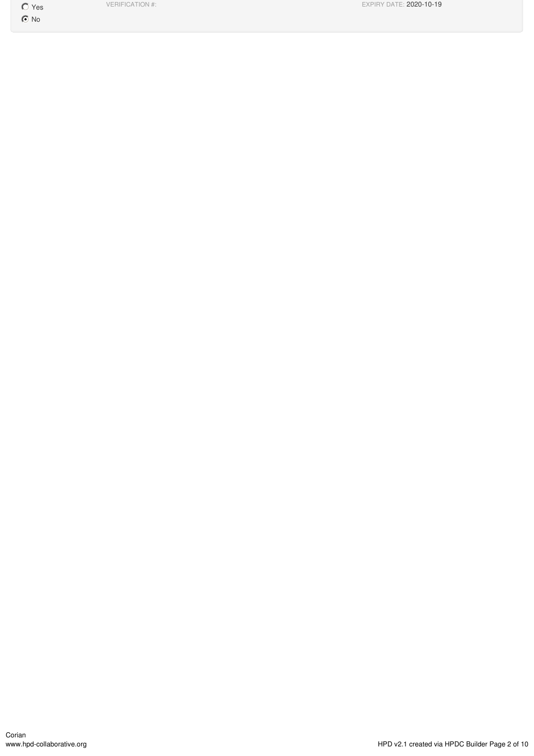Yes

 $\odot$  No

VERIFICATION #: EXPIRY DATE: 2020-10-19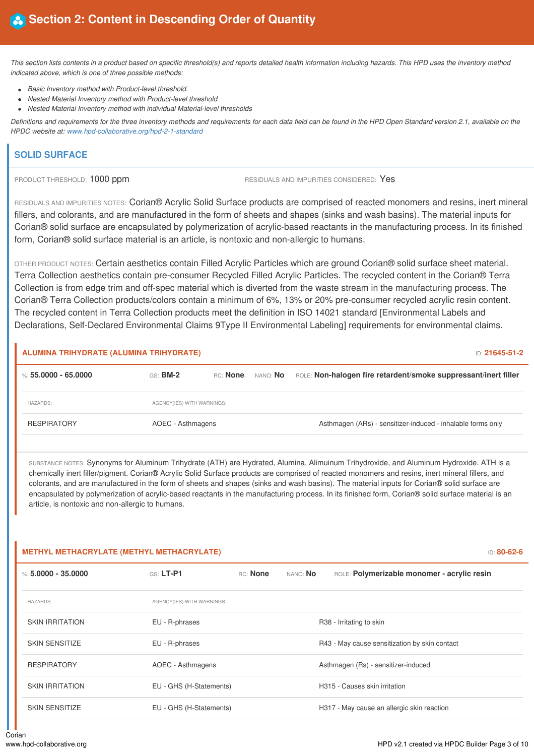This section lists contents in a product based on specific threshold(s) and reports detailed health information including hazards. This HPD uses the inventory method *indicated above, which is one of three possible methods:*

- *Basic Inventory method with Product-level threshold.*
- *Nested Material Inventory method with Product-level threshold*
- *Nested Material Inventory method with individual Material-level thresholds*

Definitions and requirements for the three inventory methods and requirements for each data field can be found in the HPD Open Standard version 2.1, available on the *HPDC website at: www.hpd-collaborative.org/hpd-2-1-standard*

### **SOLID SURFACE**

PRODUCT THRESHOLD: 1000 ppm RESIDUALS AND IMPURITIES CONSIDERED: Yes

RESIDUALS AND IMPURITIES NOTES: Corian® Acrylic Solid Surface products are comprised of reacted monomers and resins, inert mineral fillers, and colorants, and are manufactured in the form of sheets and shapes (sinks and wash basins). The material inputs for Corian® solid surface are encapsulated by polymerization of acrylic-based reactants in the manufacturing process. In its finished form, Corian® solid surface material is an article, is nontoxic and non-allergic to humans.

OTHER PRODUCT NOTES: Certain aesthetics contain Filled Acrylic Particles which are ground Corian® solid surface sheet material. Terra Collection aesthetics contain pre-consumer Recycled Filled Acrylic Particles. The recycled content in the Corian® Terra Collection is from edge trim and off-spec material which is diverted from the waste stream in the manufacturing process. The Corian® Terra Collection products/colors contain a minimum of 6%, 13% or 20% pre-consumer recycled acrylic resin content. The recycled content in Terra Collection products meet the definition in ISO 14021 standard [Environmental Labels and Declarations, Self-Declared Environmental Claims 9Type II Environmental Labeling] requirements for environmental claims.

#### **ALUMINA TRIHYDRATE (ALUMINA TRIHYDRATE)** ID: **21645-51-2**

| $\%$ : 55.0000 - 65.0000 | $GS:$ BM-2                 | RC: <b>None</b> | nano: <b>No</b> | ROLE: Non-halogen fire retardent/smoke suppressant/inert filler |
|--------------------------|----------------------------|-----------------|-----------------|-----------------------------------------------------------------|
| <b>HAZARDS:</b>          | AGENCY(IES) WITH WARNINGS: |                 |                 |                                                                 |
| <b>RESPIRATORY</b>       | AOEC - Asthmagens          |                 |                 | Asthmagen (ARs) - sensitizer-induced - inhalable forms only     |

SUBSTANCE NOTES: Synonyms for Aluminum Trihydrate (ATH) are Hydrated, Alumina, Alimuinum Trihydroxide, and Aluminum Hydroxide. ATH is a chemically inert filler/pigment. Corian® Acrylic Solid Surface products are comprised of reacted monomers and resins, inert mineral fillers, and colorants, and are manufactured in the form of sheets and shapes (sinks and wash basins). The material inputs for Corian® solid surface are encapsulated by polymerization of acrylic-based reactants in the manufacturing process. In its finished form, Corian® solid surface material is an article, is nontoxic and non-allergic to humans.

#### **METHYL METHACRYLATE (METHYL METHACRYLATE)** ID: **80-62-6**

| %: 5.0000 - 35.0000    | $GS: LT-PI$                | RC: None | nano: <b>No</b> | ROLE: Polymerizable monomer - acrylic resin   |
|------------------------|----------------------------|----------|-----------------|-----------------------------------------------|
| <b>HAZARDS:</b>        | AGENCY(IES) WITH WARNINGS: |          |                 |                                               |
| <b>SKIN IRRITATION</b> | EU - R-phrases             |          |                 | R38 - Irritating to skin                      |
| <b>SKIN SENSITIZE</b>  | EU - R-phrases             |          |                 | R43 - May cause sensitization by skin contact |
| <b>RESPIRATORY</b>     | AOEC - Asthmagens          |          |                 | Asthmagen (Rs) - sensitizer-induced           |
| <b>SKIN IRRITATION</b> | EU - GHS (H-Statements)    |          |                 | H315 - Causes skin irritation                 |
| <b>SKIN SENSITIZE</b>  | EU - GHS (H-Statements)    |          |                 | H317 - May cause an allergic skin reaction    |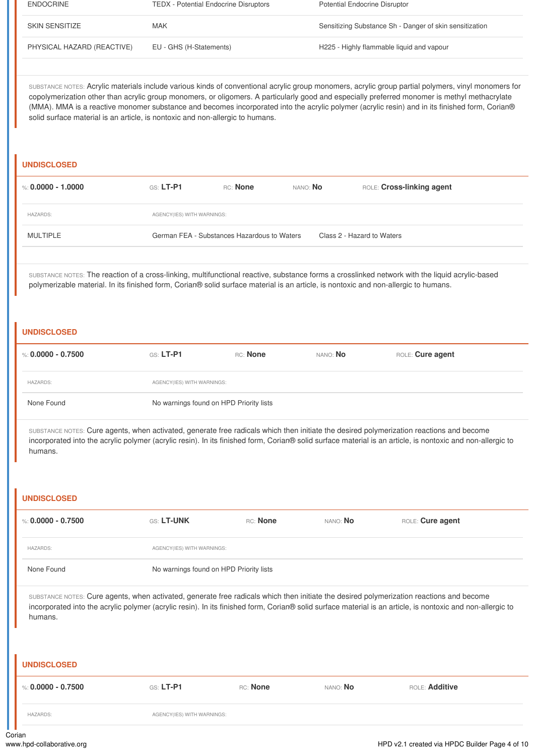| <b>ENDOCRINE</b>           | <b>TEDX</b> - Potential Endocrine Disruptors | <b>Potential Endocrine Disruptor</b>                    |
|----------------------------|----------------------------------------------|---------------------------------------------------------|
| SKIN SENSITIZE             | MAK                                          | Sensitizing Substance Sh - Danger of skin sensitization |
| PHYSICAL HAZARD (REACTIVE) | EU - GHS (H-Statements)                      | H225 - Highly flammable liquid and vapour               |

SUBSTANCE NOTES: Acrylic materials include various kinds of conventional acrylic group monomers, acrylic group partial polymers, vinyl monomers for copolymerization other than acrylic group monomers, or oligomers. A particularly good and especially preferred monomer is methyl methacrylate (MMA). MMA is a reactive monomer substance and becomes incorporated into the acrylic polymer (acrylic resin) and in its finished form, Corian® solid surface material is an article, is nontoxic and non-allergic to humans.

#### **UNDISCLOSED**

| %: 0.0000 - 1.0000 | GS: LT-P1                  | RC: None                                    | nano: <b>No</b> |  | ROLE: Cross-linking agent  |
|--------------------|----------------------------|---------------------------------------------|-----------------|--|----------------------------|
| <b>HAZARDS:</b>    | AGENCY(IES) WITH WARNINGS: |                                             |                 |  |                            |
| MULTIPLE           |                            | German FEA - Substances Hazardous to Waters |                 |  | Class 2 - Hazard to Waters |
|                    |                            |                                             |                 |  |                            |

SUBSTANCE NOTES: The reaction of a cross-linking, multifunctional reactive, substance forms a crosslinked network with the liquid acrylic-based polymerizable material. In its finished form, Corian® solid surface material is an article, is nontoxic and non-allergic to humans.

#### **UNDISCLOSED**

| %: 0.0000 - 0.7500 | GS: LT-P1                               | RC: None | NANO: <b>No</b> | ROLE: Cure agent |  |  |
|--------------------|-----------------------------------------|----------|-----------------|------------------|--|--|
| <b>HAZARDS:</b>    | AGENCY(IES) WITH WARNINGS:              |          |                 |                  |  |  |
| None Found         | No warnings found on HPD Priority lists |          |                 |                  |  |  |

SUBSTANCE NOTES: Cure agents, when activated, generate free radicals which then initiate the desired polymerization reactions and become incorporated into the acrylic polymer (acrylic resin). In its finished form, Corian® solid surface material is an article, is nontoxic and non-allergic to humans.

#### **UNDISCLOSED**

| %: 0.0000 - 0.7500                                                                                                                                                                                                                                                                                                | GS: LT-UNK                              | RC: None | nano: <b>No</b> | ROLE: Cure agent |  |  |
|-------------------------------------------------------------------------------------------------------------------------------------------------------------------------------------------------------------------------------------------------------------------------------------------------------------------|-----------------------------------------|----------|-----------------|------------------|--|--|
| <b>HAZARDS:</b>                                                                                                                                                                                                                                                                                                   | AGENCY(IES) WITH WARNINGS:              |          |                 |                  |  |  |
| None Found                                                                                                                                                                                                                                                                                                        | No warnings found on HPD Priority lists |          |                 |                  |  |  |
| SUBSTANCE NOTES: Cure agents, when activated, generate free radicals which then initiate the desired polymerization reactions and become<br>incorporated into the acrylic polymer (acrylic resin). In its finished form, Corian® solid surface material is an article, is nontoxic and non-allergic to<br>humans. |                                         |          |                 |                  |  |  |
| <b>UNDISCLOSED</b>                                                                                                                                                                                                                                                                                                |                                         |          |                 |                  |  |  |
| %: 0.0000 - 0.7500                                                                                                                                                                                                                                                                                                | GS: LT-P1                               | RC: None | NANO: <b>No</b> | ROLE: Additive   |  |  |
| <b>HAZARDS:</b>                                                                                                                                                                                                                                                                                                   | AGENCY(IES) WITH WARNINGS:              |          |                 |                  |  |  |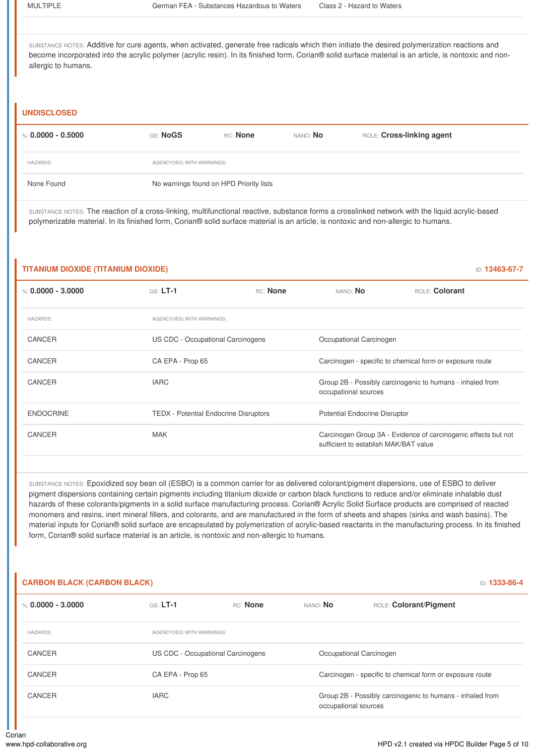SUBSTANCE NOTES: Additive for cure agents, when activated, generate free radicals which then initiate the desired polymerization reactions and become incorporated into the acrylic polymer (acrylic resin). In its finished form, Corian® solid surface material is an article, is nontoxic and nonallergic to humans.

#### **UNDISCLOSED**

| %: 0.0000 - 0.5000 | GS: NoGS                                | RC: None | nano: <b>No</b> | ROLE: Cross-linking agent |  |  |  |
|--------------------|-----------------------------------------|----------|-----------------|---------------------------|--|--|--|
| <b>HAZARDS:</b>    | AGENCY(IES) WITH WARNINGS:              |          |                 |                           |  |  |  |
| None Found         | No warnings found on HPD Priority lists |          |                 |                           |  |  |  |

SUBSTANCE NOTES: The reaction of a cross-linking, multifunctional reactive, substance forms a crosslinked network with the liquid acrylic-based polymerizable material. In its finished form, Corian® solid surface material is an article, is nontoxic and non-allergic to humans.

#### **TITANIUM DIOXIDE (TITANIUM DIOXIDE)** ID: **13463-67-7**

%: **0.0000 - 3.0000** GS: **LT-1** RC: **None** NANO: **No** ROLE: **Colorant** HAZARDS: AGENCY(IES) WITH WARNINGS: CANCER US CDC - Occupational Carcinogens Occupational Carcinogen CANCER CA EPA - Prop 65 Carcinogen - specific to chemical form or exposure route CANCER **IARC** IARC **IARC IARC CANCER IARC CANCER IARC I** occupational sources ENDOCRINE TEDX - Potential Endocrine Disruptors Potential Endocrine Disruptor CANCER MAK MAK Carcinogen Group 3A - Evidence of carcinogenic effects but not sufficient to establish MAK/BAT value

SUBSTANCE NOTES: Epoxidized soy bean oil (ESBO) is a common carrier for as delivered colorant/pigment dispersions, use of ESBO to deliver pigment dispersions containing certain pigments including titanium dioxide or carbon black functions to reduce and/or eliminate inhalable dust hazards of these colorants/pigments in a solid surface manufacturing process. Corian® Acrylic Solid Surface products are comprised of reacted monomers and resins, inert mineral fillers, and colorants, and are manufactured in the form of sheets and shapes (sinks and wash basins). The material inputs for Corian® solid surface are encapsulated by polymerization of acrylic-based reactants in the manufacturing process. In its finished form, Corian® solid surface material is an article, is nontoxic and non-allergic to humans.

#### **CARBON BLACK (CARBON BLACK)** ID: **1333-86-4**

| %: 0.0000 - 3.0000 | $GS: LT-1$                        | RC: None | NANO: No             | ROLE: Colorant/Pigment                                    |  |  |
|--------------------|-----------------------------------|----------|----------------------|-----------------------------------------------------------|--|--|
| <b>HAZARDS:</b>    | AGENCY(IES) WITH WARNINGS:        |          |                      |                                                           |  |  |
| CANCER             | US CDC - Occupational Carcinogens |          |                      | Occupational Carcinogen                                   |  |  |
| CANCER             | CA EPA - Prop 65                  |          |                      | Carcinogen - specific to chemical form or exposure route  |  |  |
| CANCER             | <b>IARC</b>                       |          | occupational sources | Group 2B - Possibly carcinogenic to humans - inhaled from |  |  |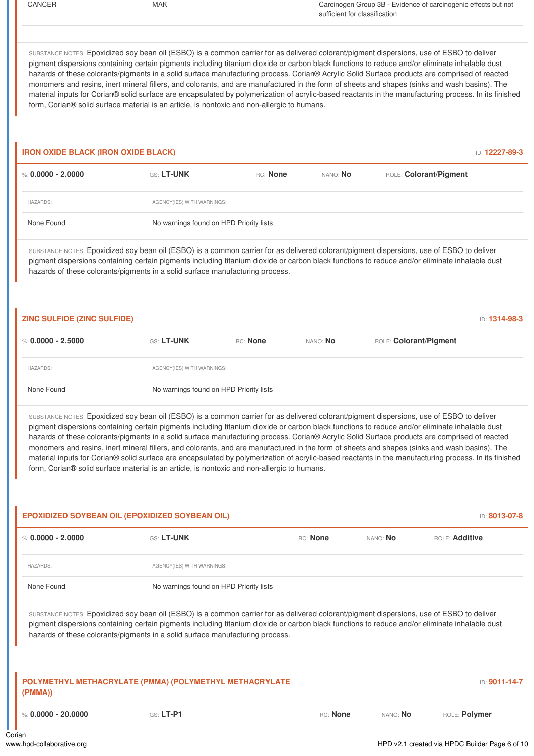CANCER MAK MAK Carcinogen Group 3B - Evidence of carcinogenic effects but not sufficient for classification SUBSTANCE NOTES: Epoxidized soy bean oil (ESBO) is a common carrier for as delivered colorant/pigment dispersions, use of ESBO to deliver pigment dispersions containing certain pigments including titanium dioxide or carbon black functions to reduce and/or eliminate inhalable dust hazards of these colorants/pigments in a solid surface manufacturing process. Corian® Acrylic Solid Surface products are comprised of reacted monomers and resins, inert mineral fillers, and colorants, and are manufactured in the form of sheets and shapes (sinks and wash basins). The material inputs for Corian® solid surface are encapsulated by polymerization of acrylic-based reactants in the manufacturing process. In its finished form, Corian® solid surface material is an article, is nontoxic and non-allergic to humans. **IRON OXIDE BLACK (IRON OXIDE BLACK)** ID: **12227-89-3** %: **0.0000 - 2.0000** GS: **LT-UNK** RC: **None** NANO: **No** ROLE: **Colorant/Pigment** HAZARDS: AGENCY(IES) WITH WARNINGS: None Found No warnings found on HPD Priority lists SUBSTANCE NOTES: Epoxidized soy bean oil (ESBO) is a common carrier for as delivered colorant/pigment dispersions, use of ESBO to deliver pigment dispersions containing certain pigments including titanium dioxide or carbon black functions to reduce and/or eliminate inhalable dust hazards of these colorants/pigments in a solid surface manufacturing process. **ZINC SULFIDE (ZINC SULFIDE)** ID: **1314-98-3** %: **0.0000 - 2.5000** GS: **LT-UNK** RC: **None** NANO: **No** ROLE: **Colorant/Pigment** HAZARDS: AGENCY(IES) WITH WARNINGS: None Found No warnings found on HPD Priority lists SUBSTANCE NOTES: Epoxidized soy bean oil (ESBO) is a common carrier for as delivered colorant/pigment dispersions, use of ESBO to deliver pigment dispersions containing certain pigments including titanium dioxide or carbon black functions to reduce and/or eliminate inhalable dust hazards of these colorants/pigments in a solid surface manufacturing process. Corian® Acrylic Solid Surface products are comprised of reacted monomers and resins, inert mineral fillers, and colorants, and are manufactured in the form of sheets and shapes (sinks and wash basins). The material inputs for Corian® solid surface are encapsulated by polymerization of acrylic-based reactants in the manufacturing process. In its finished form, Corian® solid surface material is an article, is nontoxic and non-allergic to humans. **EPOXIDIZED SOYBEAN OIL (EPOXIDIZED SOYBEAN OIL)** ID: **8013-07-8** %: **0.0000 - 2.0000** GS: **LT-UNK** RC: **None** NANO: **No** ROLE: **Additive** HAZARDS: AGENCY(IES) WITH WARNINGS: None Found No warnings found on HPD Priority lists SUBSTANCE NOTES: Epoxidized soy bean oil (ESBO) is a common carrier for as delivered colorant/pigment dispersions, use of ESBO to deliver pigment dispersions containing certain pigments including titanium dioxide or carbon black functions to reduce and/or eliminate inhalable dust hazards of these colorants/pigments in a solid surface manufacturing process. **POLYMETHYL METHACRYLATE (PMMA) (POLYMETHYL METHACRYLATE (PMMA))** ID: **9011-14-7** %: **0.0000 - 20.0000** GS: **LT-P1** RC: **None** NANO: **No** ROLE: **Polymer** Corian www.hpd-collaborative.org example of the example of the example of the HPD v2.1 created via HPDC Builder Page 6 of 10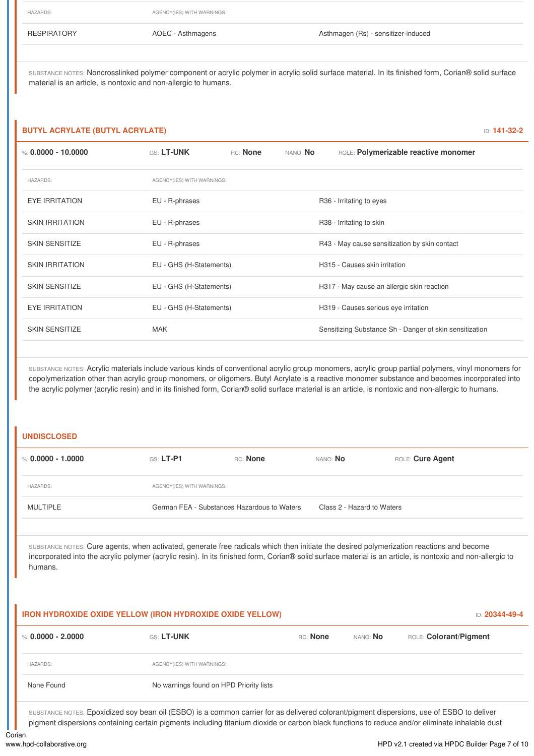HAZARDS: AGENCY(IES) WITH WARNINGS:

RESPIRATORY **AOEC - Asthmagens** Asthmagen Asthmagen (Rs) - sensitizer-induced

SUBSTANCE NOTES: Noncrosslinked polymer component or acrylic polymer in acrylic solid surface material. In its finished form, Corian® solid surface material is an article, is nontoxic and non-allergic to humans.

#### **BUTYL ACRYLATE (BUTYL ACRYLATE)** ID: **141-32-2**

| %: 0.0000 - 10.0000    | <b>GS: LT-UNK</b>          | RC: None                | nano: <b>No</b> | ROLE: Polymerizable reactive monomer                    |  |  |
|------------------------|----------------------------|-------------------------|-----------------|---------------------------------------------------------|--|--|
| <b>HAZARDS:</b>        | AGENCY(IES) WITH WARNINGS: |                         |                 |                                                         |  |  |
| <b>EYE IRRITATION</b>  | EU - R-phrases             |                         |                 | R36 - Irritating to eyes                                |  |  |
| <b>SKIN IRRITATION</b> | EU - R-phrases             |                         |                 | R38 - Irritating to skin                                |  |  |
| <b>SKIN SENSITIZE</b>  | EU - R-phrases             |                         |                 | R43 - May cause sensitization by skin contact           |  |  |
| <b>SKIN IRRITATION</b> | EU - GHS (H-Statements)    |                         |                 | H315 - Causes skin irritation                           |  |  |
| <b>SKIN SENSITIZE</b>  |                            | EU - GHS (H-Statements) |                 | H317 - May cause an allergic skin reaction              |  |  |
| <b>EYE IRRITATION</b>  | EU - GHS (H-Statements)    |                         |                 | H319 - Causes serious eye irritation                    |  |  |
| <b>SKIN SENSITIZE</b>  | <b>MAK</b>                 |                         |                 | Sensitizing Substance Sh - Danger of skin sensitization |  |  |

SUBSTANCE NOTES: Acrylic materials include various kinds of conventional acrylic group monomers, acrylic group partial polymers, vinyl monomers for copolymerization other than acrylic group monomers, or oligomers. Butyl Acrylate is a reactive monomer substance and becomes incorporated into the acrylic polymer (acrylic resin) and in its finished form, Corian® solid surface material is an article, is nontoxic and non-allergic to humans.

#### **UNDISCLOSED**

| %: 0.0000 - 1.0000 | $GS: LT-PI$                | RC: None                                    | NANO: <b>No</b>            | ROLE: Cure Agent |  |  |
|--------------------|----------------------------|---------------------------------------------|----------------------------|------------------|--|--|
| <b>HAZARDS:</b>    | AGENCY(IES) WITH WARNINGS: |                                             |                            |                  |  |  |
| <b>MULTIPLE</b>    |                            | German FEA - Substances Hazardous to Waters | Class 2 - Hazard to Waters |                  |  |  |
|                    |                            |                                             |                            |                  |  |  |

SUBSTANCE NOTES: Cure agents, when activated, generate free radicals which then initiate the desired polymerization reactions and become incorporated into the acrylic polymer (acrylic resin). In its finished form, Corian® solid surface material is an article, is nontoxic and non-allergic to humans.

#### **IRON HYDROXIDE OXIDE YELLOW (IRON HYDROXIDE OXIDE YELLOW)** ID: **20344-49-4**

| %: 0.0000 - 2.0000 | GS: LT-UNK                              | RC: None | nano: <b>No</b> | ROLE: Colorant/Pigment |
|--------------------|-----------------------------------------|----------|-----------------|------------------------|
| <b>HAZARDS:</b>    | AGENCY(IES) WITH WARNINGS:              |          |                 |                        |
| None Found         | No warnings found on HPD Priority lists |          |                 |                        |

SUBSTANCE NOTES: Epoxidized soy bean oil (ESBO) is a common carrier for as delivered colorant/pigment dispersions, use of ESBO to deliver pigment dispersions containing certain pigments including titanium dioxide or carbon black functions to reduce and/or eliminate inhalable dust

Corian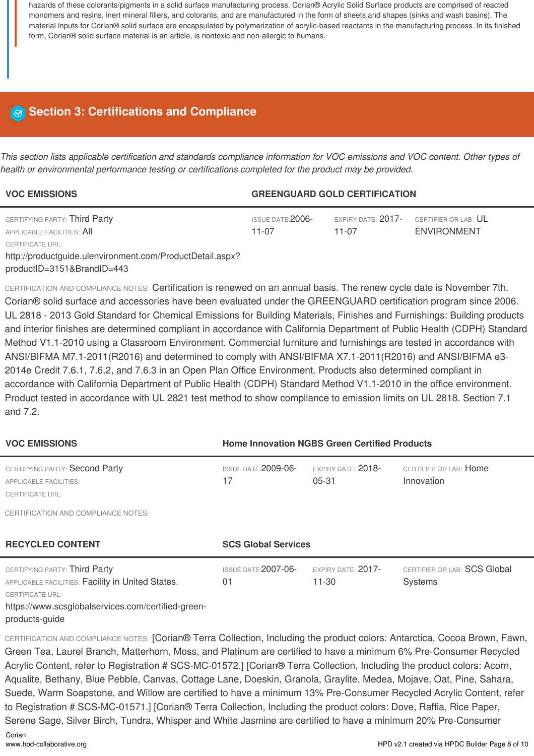hazards of these colorants/pigments in a solid surface manufacturing process. Corian® Acrylic Solid Surface products are comprised of reacted monomers and resins, inert mineral fillers, and colorants, and are manufactured in the form of sheets and shapes (sinks and wash basins). The material inputs for Corian® solid surface are encapsulated by polymerization of acrylic-based reactants in the manufacturing process. In its finished form, Corian® solid surface material is an article, is nontoxic and non-allergic to humans.

# **Section 3: Certifications and Compliance**

This section lists applicable certification and standards compliance information for VOC emissions and VOC content. Other types of *health or environmental performance testing or certifications completed for the product may be provided.*

| <b>VOC EMISSIONS</b>                                        | <b>GREENGUARD GOLD CERTIFICATION</b> |                                 |                                                       |
|-------------------------------------------------------------|--------------------------------------|---------------------------------|-------------------------------------------------------|
| CERTIFYING PARTY: Third Party<br>APPLICABLE FACILITIES: All | ISSUE DATE: $2006$ -<br>11-07        | EXPIRY DATE: 2017-<br>$11 - 07$ | CERTIFIER OR LAB: $\mathsf{UL}$<br><b>ENVIRONMENT</b> |
| CERTIFICATE URL:                                            |                                      |                                 |                                                       |
| http://productguide.ulenvironment.com/ProductDetail.aspx?   |                                      |                                 |                                                       |
| productID=3151&BrandID=443                                  |                                      |                                 |                                                       |

CERTIFICATION AND COMPLIANCE NOTES: Certification is renewed on an annual basis. The renew cycle date is November 7th. Corian® solid surface and accessories have been evaluated under the GREENGUARD certification program since 2006. UL 2818 - 2013 Gold Standard for Chemical Emissions for Building Materials, Finishes and Furnishings: Building products and interior finishes are determined compliant in accordance with California Department of Public Health (CDPH) Standard Method V1.1-2010 using a Classroom Environment. Commercial furniture and furnishings are tested in accordance with ANSI/BIFMA M7.1-2011(R2016) and determined to comply with ANSI/BIFMA X7.1-2011(R2016) and ANSI/BIFMA e3- 2014e Credit 7.6.1, 7.6.2, and 7.6.3 in an Open Plan Office Environment. Products also determined compliant in accordance with California Department of Public Health (CDPH) Standard Method V1.1-2010 in the office environment. Product tested in accordance with UL 2821 test method to show compliance to emission limits on UL 2818. Section 7.1 and 7.2.

| <b>VOC EMISSIONS</b>                                                                                                                                                | <b>Home Innovation NGBS Green Certified Products</b> |                                 |                                                |  |
|---------------------------------------------------------------------------------------------------------------------------------------------------------------------|------------------------------------------------------|---------------------------------|------------------------------------------------|--|
| CERTIFYING PARTY: Second Party<br><b>APPLICABLE FACILITIES:</b><br><b>CERTIFICATE URL:</b>                                                                          | ISSUE DATE: 2009-06-<br>17                           | EXPIRY DATE: 2018-<br>$05 - 31$ | CERTIFIER OR LAB: Home<br>Innovation           |  |
| CERTIFICATION AND COMPLIANCE NOTES:<br><b>RECYCLED CONTENT</b>                                                                                                      | <b>SCS Global Services</b>                           |                                 |                                                |  |
| CERTIFYING PARTY: Third Party<br>APPLICABLE FACILITIES: Facility in United States.<br><b>CERTIFICATE URL:</b><br>https://www.scsglobalservices.com/certified-green- | <b>ISSUE DATE: 2007-06-</b><br>01                    | EXPIRY DATE: 2017-<br>11-30     | CERTIFIER OR LAB: SCS Global<br><b>Systems</b> |  |

products-guide

CERTIFICATION AND COMPLIANCE NOTES: [Corian® Terra Collection, Including the product colors: Antarctica, Cocoa Brown, Fawn, Green Tea, Laurel Branch, Matterhorn, Moss, and Platinum are certified to have a minimum 6% Pre-Consumer Recycled Acrylic Content, refer to Registration # SCS-MC-01572.] [Corian® Terra Collection, Including the product colors: Acorn, Aqualite, Bethany, Blue Pebble, Canvas, Cottage Lane, Doeskin, Granola, Graylite, Medea, Mojave, Oat, Pine, Sahara, Suede, Warm Soapstone, and Willow are certified to have a minimum 13% Pre-Consumer Recycled Acrylic Content, refer to Registration # SCS-MC-01571.] [Corian® Terra Collection, Including the product colors: Dove, Raffia, Rice Paper, Serene Sage, Silver Birch, Tundra, Whisper and White Jasmine are certified to have a minimum 20% Pre-Consumer

Corian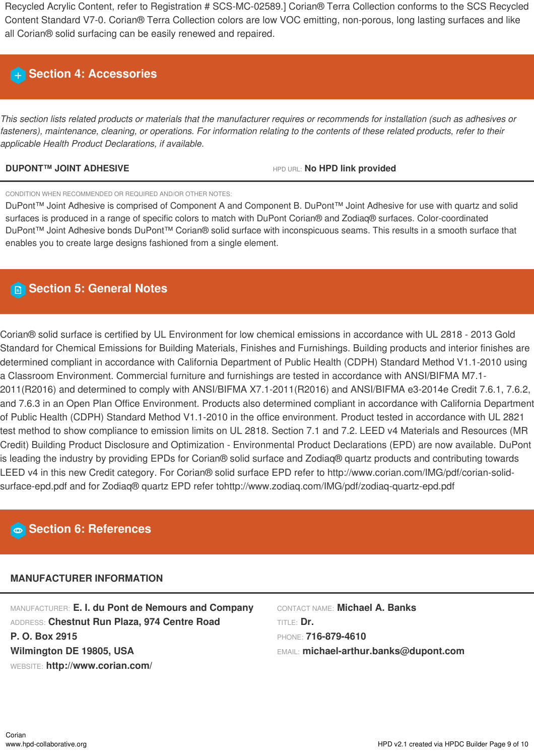Recycled Acrylic Content, refer to Registration # SCS-MC-02589.] Corian® Terra Collection conforms to the SCS Recycled Content Standard V7-0. Corian® Terra Collection colors are low VOC emitting, non-porous, long lasting surfaces and like all Corian® solid surfacing can be easily renewed and repaired.

# **Section 4: Accessories**

This section lists related products or materials that the manufacturer requires or recommends for installation (such as adhesives or fasteners), maintenance, cleaning, or operations. For information relating to the contents of these related products, refer to their *applicable Health Product Declarations, if available.*

### **DUPONT™ JOINT ADHESIVE** HPD URL: **No HPD link provided**

CONDITION WHEN RECOMMENDED OR REQUIRED AND/OR OTHER NOTES:

DuPont™ Joint Adhesive is comprised of Component A and Component B. DuPont™ Joint Adhesive for use with quartz and solid surfaces is produced in a range of specific colors to match with DuPont Corian® and Zodiaq® surfaces. Color-coordinated DuPont™ Joint Adhesive bonds DuPont™ Corian® solid surface with inconspicuous seams. This results in a smooth surface that enables you to create large designs fashioned from a single element.

# **Section 5: General Notes**

Corian® solid surface is certified by UL Environment for low chemical emissions in accordance with UL 2818 - 2013 Gold Standard for Chemical Emissions for Building Materials, Finishes and Furnishings. Building products and interior finishes are determined compliant in accordance with California Department of Public Health (CDPH) Standard Method V1.1-2010 using a Classroom Environment. Commercial furniture and furnishings are tested in accordance with ANSI/BIFMA M7.1- 2011(R2016) and determined to comply with ANSI/BIFMA X7.1-2011(R2016) and ANSI/BIFMA e3-2014e Credit 7.6.1, 7.6.2, and 7.6.3 in an Open Plan Office Environment. Products also determined compliant in accordance with California Department of Public Health (CDPH) Standard Method V1.1-2010 in the office environment. Product tested in accordance with UL 2821 test method to show compliance to emission limits on UL 2818. Section 7.1 and 7.2. LEED v4 Materials and Resources (MR Credit) Building Product Disclosure and Optimization - Environmental Product Declarations (EPD) are now available. DuPont is leading the industry by providing EPDs for Corian® solid surface and Zodiaq® quartz products and contributing towards LEED v4 in this new Credit category. For Corian® solid surface EPD refer to http://www.corian.com/IMG/pdf/corian-solidsurface-epd.pdf and for Zodiaq® quartz EPD refer tohttp://www.zodiaq.com/IMG/pdf/zodiaq-quartz-epd.pdf

# **Section 6: References**

# **MANUFACTURER INFORMATION**

MANUFACTURER: **E. I. du Pont de Nemours and Company** ADDRESS: **Chestnut Run Plaza, 974 Centre Road P. O. Box 2915 Wilmington DE 19805, USA** WEBSITE: **http://www.corian.com/**

CONTACT NAME: **Michael A. Banks** TITLE: **Dr.** PHONE: **716-879-4610** EMAIL: **michael-arthur.banks@dupont.com**